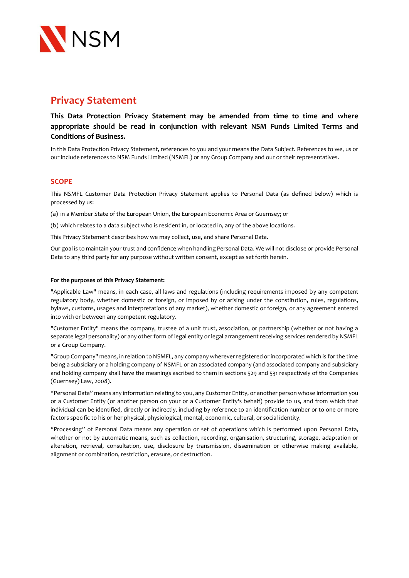

# **Privacy Statement**

**This Data Protection Privacy Statement may be amended from time to time and where appropriate should be read in conjunction with relevant NSM Funds Limited Terms and Conditions of Business.**

In this Data Protection Privacy Statement, references to you and your means the Data Subject. References to we, us or our include references to NSM Funds Limited (NSMFL) or any Group Company and our or their representatives.

# **SCOPE**

This NSMFL Customer Data Protection Privacy Statement applies to Personal Data (as defined below) which is processed by us:

(a) in a Member State of the European Union, the European Economic Area or Guernsey; or

(b) which relates to a data subject who is resident in, or located in, any of the above locations.

This Privacy Statement describes how we may collect, use, and share Personal Data.

Our goal is to maintain your trust and confidence when handling Personal Data. We will not disclose or provide Personal Data to any third party for any purpose without written consent, except as set forth herein.

#### **For the purposes of this Privacy Statement:**

"Applicable Law" means, in each case, all laws and regulations (including requirements imposed by any competent regulatory body, whether domestic or foreign, or imposed by or arising under the constitution, rules, regulations, bylaws, customs, usages and interpretations of any market), whether domestic or foreign, or any agreement entered into with or between any competent regulatory.

"Customer Entity" means the company, trustee of a unit trust, association, or partnership (whether or not having a separate legal personality) or any other form of legal entity or legal arrangement receiving services rendered by NSMFL or a Group Company.

"Group Company" means, in relation to NSMFL, any company wherever registered or incorporated which is for the time being a subsidiary or a holding company of NSMFL or an associated company (and associated company and subsidiary and holding company shall have the meanings ascribed to them in sections 529 and 531 respectively of the Companies (Guernsey) Law, 2008).

"Personal Data" means any information relating to you, any Customer Entity, or another person whose information you or a Customer Entity (or another person on your or a Customer Entity's behalf) provide to us, and from which that individual can be identified, directly or indirectly, including by reference to an identification number or to one or more factors specific to his or her physical, physiological, mental, economic, cultural, or social identity.

"Processing" of Personal Data means any operation or set of operations which is performed upon Personal Data, whether or not by automatic means, such as collection, recording, organisation, structuring, storage, adaptation or alteration, retrieval, consultation, use, disclosure by transmission, dissemination or otherwise making available, alignment or combination, restriction, erasure, or destruction.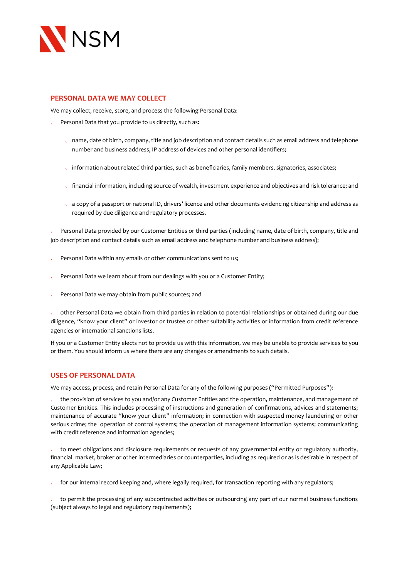

## **PERSONAL DATA WE MAY COLLECT**

We may collect, receive, store, and process the following Personal Data:

- Personal Data that you provide to us directly, such as:
	- name, date of birth, company, title and job description and contact details such as email address and telephone number and business address, IP address of devices and other personal identifiers;
	- information about related third parties, such as beneficiaries, family members, signatories, associates;
	- financial information, including source of wealth, investment experience and objectives and risk tolerance; and
	- a copy of a passport or national ID, drivers' licence and other documents evidencing citizenship and address as required by due diligence and regulatory processes.

Personal Data provided by our Customer Entities or third parties (including name, date of birth, company, title and job description and contact details such as email address and telephone number and business address);

- Personal Data within any emails or other communications sent to us;
- Personal Data we learn about from our dealings with you or a Customer Entity;
- Personal Data we may obtain from public sources; and

other Personal Data we obtain from third parties in relation to potential relationships or obtained during our due diligence, "know your client" or investor or trustee or other suitability activities or information from credit reference agencies or international sanctions lists.

If you or a Customer Entity elects not to provide us with this information, we may be unable to provide services to you or them. You should inform us where there are any changes or amendments to such details.

## **USES OF PERSONAL DATA**

We may access, process, and retain Personal Data for any of the following purposes ("Permitted Purposes"):

the provision of services to you and/or any Customer Entitles and the operation, maintenance, and management of Customer Entities. This includes processing of instructions and generation of confirmations, advices and statements; maintenance of accurate "know your client" information; in connection with suspected money laundering or other serious crime; the operation of control systems; the operation of management information systems; communicating with credit reference and information agencies;

to meet obligations and disclosure requirements or requests of any governmental entity or regulatory authority, financial market, broker or other intermediaries or counterparties, including as required or as is desirable in respect of any Applicable Law;

for our internal record keeping and, where legally required, for transaction reporting with any regulators;

to permit the processing of any subcontracted activities or outsourcing any part of our normal business functions (subject always to legal and regulatory requirements);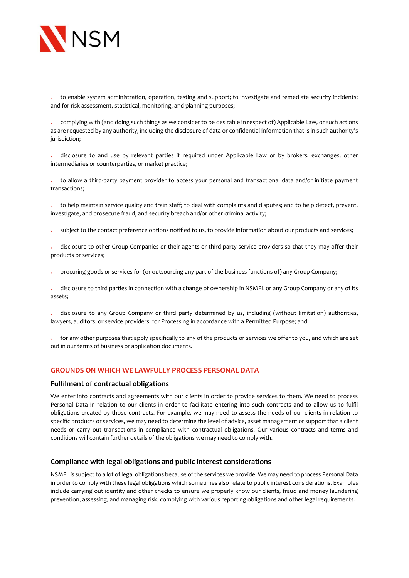

to enable system administration, operation, testing and support; to investigate and remediate security incidents; and for risk assessment, statistical, monitoring, and planning purposes;

complying with (and doing such things as we consider to be desirable in respect of) Applicable Law, or such actions as are requested by any authority, including the disclosure of data or confidential information that is in such authority's jurisdiction;

disclosure to and use by relevant parties if required under Applicable Law or by brokers, exchanges, other intermediaries or counterparties, or market practice;

to allow a third-party payment provider to access your personal and transactional data and/or initiate payment transactions;

to help maintain service quality and train staff; to deal with complaints and disputes; and to help detect, prevent, investigate, and prosecute fraud, and security breach and/or other criminal activity;

subject to the contact preference options notified to us, to provide information about our products and services;

disclosure to other Group Companies or their agents or third-party service providers so that they may offer their products or services;

procuring goods or services for (or outsourcing any part of the business functions of) any Group Company;

disclosure to third parties in connection with a change of ownership in NSMFL or any Group Company or any of its assets;

disclosure to any Group Company or third party determined by us, including (without limitation) authorities, lawyers, auditors, or service providers, for Processing in accordance with a Permitted Purpose; and

for any other purposes that apply specifically to any of the products or services we offer to you, and which are set out in our terms of business or application documents.

#### **GROUNDS ON WHICH WE LAWFULLY PROCESS PERSONAL DATA**

#### **Fulfilment of contractual obligations**

We enter into contracts and agreements with our clients in order to provide services to them. We need to process Personal Data in relation to our clients in order to facilitate entering into such contracts and to allow us to fulfil obligations created by those contracts. For example, we may need to assess the needs of our clients in relation to specific products or services, we may need to determine the level of advice, asset management or support that a client needs or carry out transactions in compliance with contractual obligations. Our various contracts and terms and conditions will contain further details of the obligations we may need to comply with.

#### **Compliance with legal obligations and public interest considerations**

NSMFL is subject to a lot of legal obligations because of the services we provide. We may need to process Personal Data in order to comply with these legal obligations which sometimes also relate to public interest considerations. Examples include carrying out identity and other checks to ensure we properly know our clients, fraud and money laundering prevention, assessing, and managing risk, complying with various reporting obligations and other legal requirements.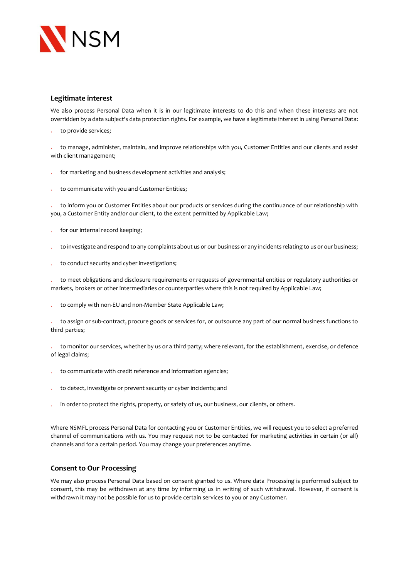

# **Legitimate interest**

We also process Personal Data when it is in our legitimate interests to do this and when these interests are not overridden by a data subject's data protection rights. For example, we have a legitimate interest in using Personal Data:

to provide services;

to manage, administer, maintain, and improve relationships with you, Customer Entities and our clients and assist with client management;

- for marketing and business development activities and analysis; l,
- to communicate with you and Customer Entities; X

to inform you or Customer Entities about our products or services during the continuance of our relationship with you, a Customer Entity and/or our client, to the extent permitted by Applicable Law;

- for our internal record keeping;
- to investigate and respond to any complaints about us or our business or any incidents relating to us or our business;  $\mathbf{v}$
- to conduct security and cyber investigations;  $\ddot{\phantom{a}}$

to meet obligations and disclosure requirements or requests of governmental entities or regulatory authorities or markets, brokers or other intermediaries or counterparties where this is not required by Applicable Law;

to comply with non-EU and non-Member State Applicable Law; k.

to assign or sub-contract, procure goods or services for, or outsource any part of our normal business functions to third parties;

to monitor our services, whether by us or a third party; where relevant, for the establishment, exercise, or defence of legal claims;

- to communicate with credit reference and information agencies;
- to detect, investigate or prevent security or cyber incidents; and k.
- in order to protect the rights, property, or safety of us, our business, our clients, or others.

Where NSMFL process Personal Data for contacting you or Customer Entities, we will request you to select a preferred channel of communications with us. You may request not to be contacted for marketing activities in certain (or all) channels and for a certain period. You may change your preferences anytime.

## **Consent to Our Processing**

We may also process Personal Data based on consent granted to us. Where data Processing is performed subject to consent, this may be withdrawn at any time by informing us in writing of such withdrawal. However, if consent is withdrawn it may not be possible for us to provide certain services to you or any Customer.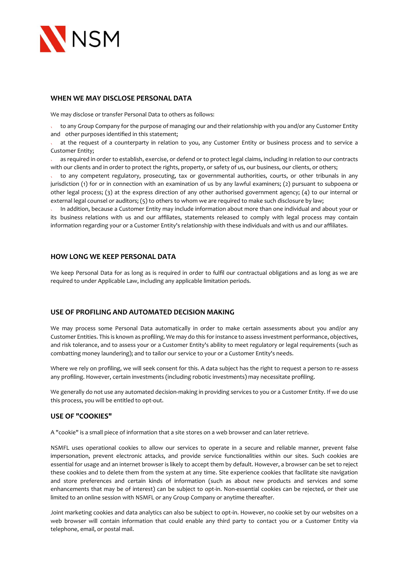

#### **WHEN WE MAY DISCLOSE PERSONAL DATA**

We may disclose or transfer Personal Data to others as follows:

to any Group Company for the purpose of managing our and their relationship with you and/or any Customer Entity and other purposes identified in this statement;

at the request of a counterparty in relation to you, any Customer Entity or business process and to service a Customer Entity;

as required in order to establish, exercise, or defend or to protect legal claims, including in relation to our contracts with our clients and in order to protect the rights, property, or safety of us, our business, our clients, or others;

to any competent regulatory, prosecuting, tax or governmental authorities, courts, or other tribunals in any jurisdiction (1) for or in connection with an examination of us by any lawful examiners; (2) pursuant to subpoena or other legal process; (3) at the express direction of any other authorised government agency; (4) to our internal or external legal counsel or auditors; (5) to others to whom we are required to make such disclosure by law;

In addition, because a Customer Entity may include information about more than one individual and about your or its business relations with us and our affiliates, statements released to comply with legal process may contain information regarding your or a Customer Entity's relationship with these individuals and with us and our affiliates.

#### **HOW LONG WE KEEP PERSONAL DATA**

We keep Personal Data for as long as is required in order to fulfil our contractual obligations and as long as we are required to under Applicable Law, including any applicable limitation periods.

### **USE OF PROFILING AND AUTOMATED DECISION MAKING**

We may process some Personal Data automatically in order to make certain assessments about you and/or any Customer Entities. This is known as profiling. We may do this for instance to assess investment performance, objectives, and risk tolerance, and to assess your or a Customer Entity's ability to meet regulatory or legal requirements (such as combatting money laundering); and to tailor our service to your or a Customer Entity's needs.

Where we rely on profiling, we will seek consent for this. A data subject has the right to request a person to re-assess any profiling. However, certain investments (including robotic investments) may necessitate profiling.

We generally do not use any automated decision-making in providing services to you or a Customer Entity. If we do use this process, you will be entitled to opt-out.

#### **USE OF "COOKIES"**

A "cookie" is a small piece of information that a site stores on a web browser and can later retrieve.

NSMFL uses operational cookies to allow our services to operate in a secure and reliable manner, prevent false impersonation, prevent electronic attacks, and provide service functionalities within our sites. Such cookies are essential for usage and an internet browser is likely to accept them by default. However, a browser can be set to reject these cookies and to delete them from the system at any time. Site experience cookies that facilitate site navigation and store preferences and certain kinds of information (such as about new products and services and some enhancements that may be of interest) can be subject to opt-in. Non-essential cookies can be rejected, or their use limited to an online session with NSMFL or any Group Company or anytime thereafter.

Joint marketing cookies and data analytics can also be subject to opt-in. However, no cookie set by our websites on a web browser will contain information that could enable any third party to contact you or a Customer Entity via telephone, email, or postal mail.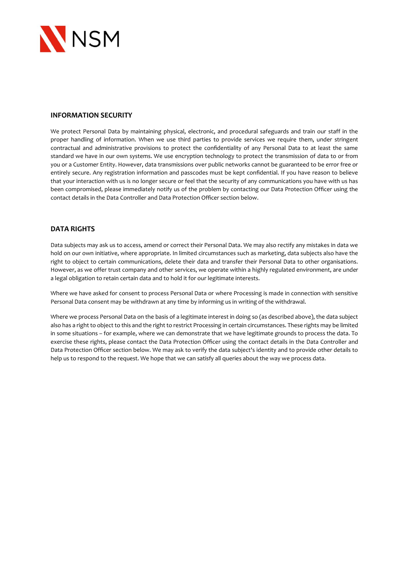

## **INFORMATION SECURITY**

We protect Personal Data by maintaining physical, electronic, and procedural safeguards and train our staff in the proper handling of information. When we use third parties to provide services we require them, under stringent contractual and administrative provisions to protect the confidentiality of any Personal Data to at least the same standard we have in our own systems. We use encryption technology to protect the transmission of data to or from you or a Customer Entity. However, data transmissions over public networks cannot be guaranteed to be error free or entirely secure. Any registration information and passcodes must be kept confidential. If you have reason to believe that your interaction with us is no longer secure or feel that the security of any communications you have with us has been compromised, please immediately notify us of the problem by contacting our Data Protection Officer using the contact details in the Data Controller and Data Protection Officer section below.

#### **DATA RIGHTS**

Data subjects may ask us to access, amend or correct their Personal Data. We may also rectify any mistakes in data we hold on our own initiative, where appropriate. In limited circumstances such as marketing, data subjects also have the right to object to certain communications, delete their data and transfer their Personal Data to other organisations. However, as we offer trust company and other services, we operate within a highly regulated environment, are under a legal obligation to retain certain data and to hold it for our legitimate interests.

Where we have asked for consent to process Personal Data or where Processing is made in connection with sensitive Personal Data consent may be withdrawn at any time by informing us in writing of the withdrawal.

Where we process Personal Data on the basis of a legitimate interest in doing so (as described above), the data subject also has a right to object to this and the right to restrict Processing in certain circumstances. These rights may be limited in some situations – for example, where we can demonstrate that we have legitimate grounds to process the data. To exercise these rights, please contact the Data Protection Officer using the contact details in the Data Controller and Data Protection Officer section below. We may ask to verify the data subject's identity and to provide other details to help us to respond to the request. We hope that we can satisfy all queries about the way we process data.